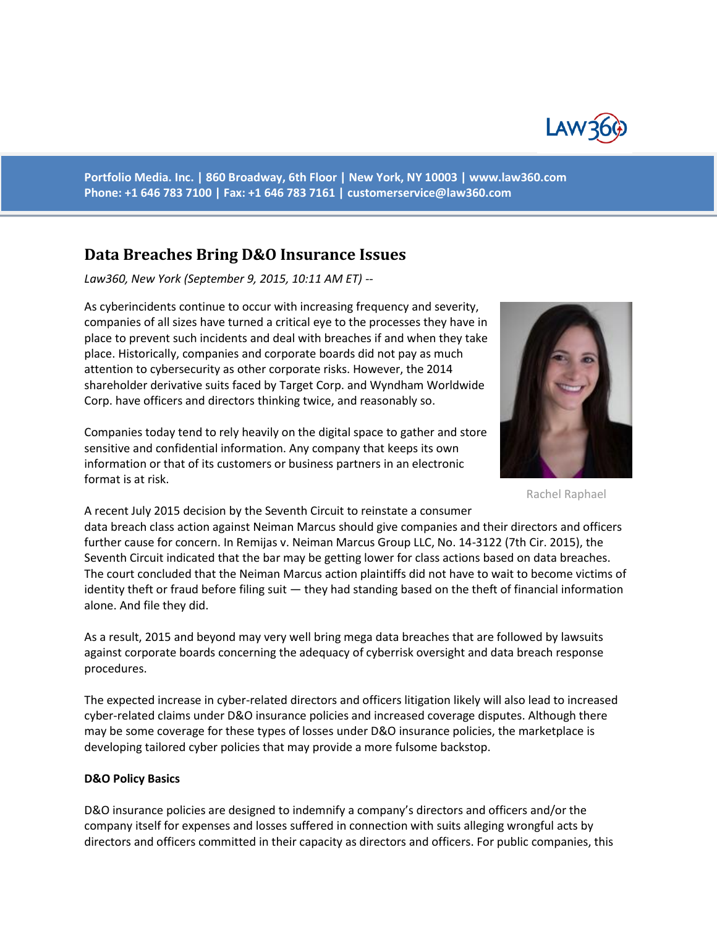

**Portfolio Media. Inc. | 860 Broadway, 6th Floor | New York, NY 10003 | www.law360.com Phone: +1 646 783 7100 | Fax: +1 646 783 7161 | [customerservice@law360.com](mailto:customerservice@law360.com)**

# **Data Breaches Bring D&O Insurance Issues**

*Law360, New York (September 9, 2015, 10:11 AM ET) --*

As cyberincidents continue to occur with increasing frequency and severity, companies of all sizes have turned a critical eye to the processes they have in place to prevent such incidents and deal with breaches if and when they take place. Historically, companies and corporate boards did not pay as much attention to cybersecurity as other corporate risks. However, the 2014 shareholder derivative suits faced by Target Corp. and Wyndham Worldwide Corp. have officers and directors thinking twice, and reasonably so.

Companies today tend to rely heavily on the digital space to gather and store sensitive and confidential information. Any company that keeps its own information or that of its customers or business partners in an electronic format is at risk.



Rachel Raphael

A recent July 2015 decision by the Seventh Circuit to reinstate a consumer data breach class action against Neiman Marcus should give companies and their directors and officers further cause for concern. In Remijas v. Neiman Marcus Group LLC, No. 14-3122 (7th Cir. 2015), the Seventh Circuit indicated that the bar may be getting lower for class actions based on data breaches. The court concluded that the Neiman Marcus action plaintiffs did not have to wait to become victims of identity theft or fraud before filing suit — they had standing based on the theft of financial information alone. And file they did.

As a result, 2015 and beyond may very well bring mega data breaches that are followed by lawsuits against corporate boards concerning the adequacy of cyberrisk oversight and data breach response procedures.

The expected increase in cyber-related directors and officers litigation likely will also lead to increased cyber-related claims under D&O insurance policies and increased coverage disputes. Although there may be some coverage for these types of losses under D&O insurance policies, the marketplace is developing tailored cyber policies that may provide a more fulsome backstop.

#### **D&O Policy Basics**

D&O insurance policies are designed to indemnify a company's directors and officers and/or the company itself for expenses and losses suffered in connection with suits alleging wrongful acts by directors and officers committed in their capacity as directors and officers. For public companies, this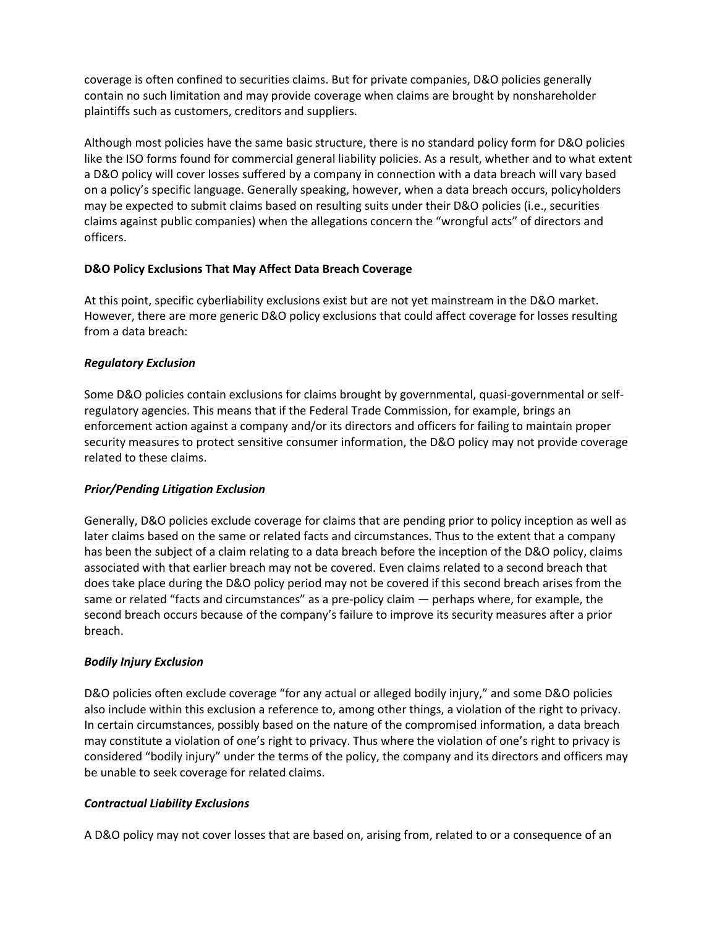coverage is often confined to securities claims. But for private companies, D&O policies generally contain no such limitation and may provide coverage when claims are brought by nonshareholder plaintiffs such as customers, creditors and suppliers.

Although most policies have the same basic structure, there is no standard policy form for D&O policies like the ISO forms found for commercial general liability policies. As a result, whether and to what extent a D&O policy will cover losses suffered by a company in connection with a data breach will vary based on a policy's specific language. Generally speaking, however, when a data breach occurs, policyholders may be expected to submit claims based on resulting suits under their D&O policies (i.e., securities claims against public companies) when the allegations concern the "wrongful acts" of directors and officers.

### **D&O Policy Exclusions That May Affect Data Breach Coverage**

At this point, specific cyberliability exclusions exist but are not yet mainstream in the D&O market. However, there are more generic D&O policy exclusions that could affect coverage for losses resulting from a data breach:

### *Regulatory Exclusion*

Some D&O policies contain exclusions for claims brought by governmental, quasi-governmental or selfregulatory agencies. This means that if the Federal Trade Commission, for example, brings an enforcement action against a company and/or its directors and officers for failing to maintain proper security measures to protect sensitive consumer information, the D&O policy may not provide coverage related to these claims.

#### *Prior/Pending Litigation Exclusion*

Generally, D&O policies exclude coverage for claims that are pending prior to policy inception as well as later claims based on the same or related facts and circumstances. Thus to the extent that a company has been the subject of a claim relating to a data breach before the inception of the D&O policy, claims associated with that earlier breach may not be covered. Even claims related to a second breach that does take place during the D&O policy period may not be covered if this second breach arises from the same or related "facts and circumstances" as a pre-policy claim — perhaps where, for example, the second breach occurs because of the company's failure to improve its security measures after a prior breach.

#### *Bodily Injury Exclusion*

D&O policies often exclude coverage "for any actual or alleged bodily injury," and some D&O policies also include within this exclusion a reference to, among other things, a violation of the right to privacy. In certain circumstances, possibly based on the nature of the compromised information, a data breach may constitute a violation of one's right to privacy. Thus where the violation of one's right to privacy is considered "bodily injury" under the terms of the policy, the company and its directors and officers may be unable to seek coverage for related claims.

#### *Contractual Liability Exclusions*

A D&O policy may not cover losses that are based on, arising from, related to or a consequence of an